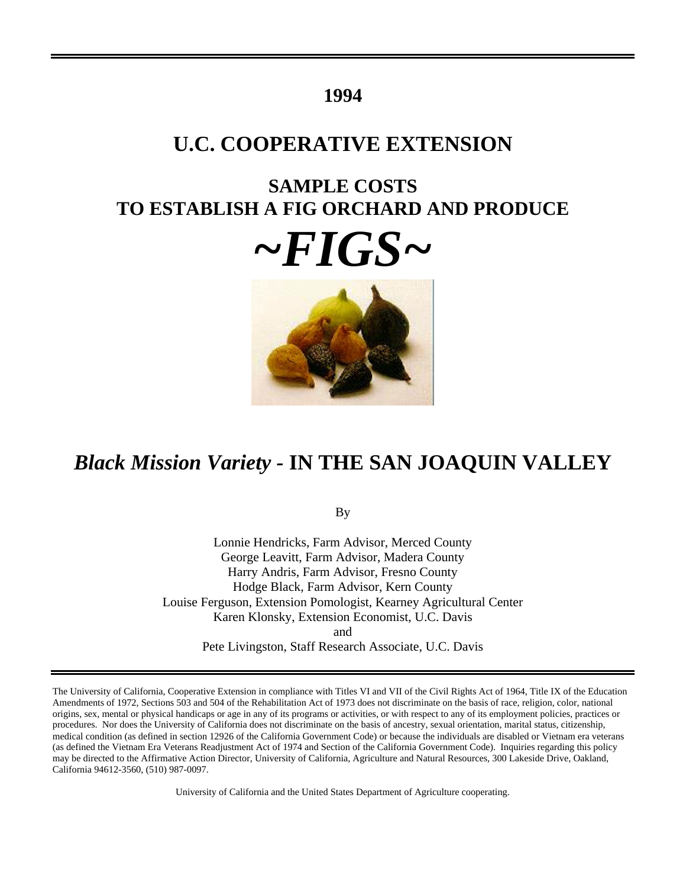## **1994**

# **U.C. COOPERATIVE EXTENSION**

# **SAMPLE COSTS TO ESTABLISH A FIG ORCHARD AND PRODUCE**





# *Black Mission Variety -* **IN THE SAN JOAQUIN VALLEY**

By

Lonnie Hendricks, Farm Advisor, Merced County George Leavitt, Farm Advisor, Madera County Harry Andris, Farm Advisor, Fresno County Hodge Black, Farm Advisor, Kern County Louise Ferguson, Extension Pomologist, Kearney Agricultural Center Karen Klonsky, Extension Economist, U.C. Davis and Pete Livingston, Staff Research Associate, U.C. Davis

The University of California, Cooperative Extension in compliance with Titles VI and VII of the Civil Rights Act of 1964, Title IX of the Education Amendments of 1972, Sections 503 and 504 of the Rehabilitation Act of 1973 does not discriminate on the basis of race, religion, color, national origins, sex, mental or physical handicaps or age in any of its programs or activities, or with respect to any of its employment policies, practices or procedures. Nor does the University of California does not discriminate on the basis of ancestry, sexual orientation, marital status, citizenship, medical condition (as defined in section 12926 of the California Government Code) or because the individuals are disabled or Vietnam era veterans (as defined the Vietnam Era Veterans Readjustment Act of 1974 and Section of the California Government Code). Inquiries regarding this policy may be directed to the Affirmative Action Director, University of California, Agriculture and Natural Resources, 300 Lakeside Drive, Oakland, California 94612-3560, (510) 987-0097.

University of California and the United States Department of Agriculture cooperating.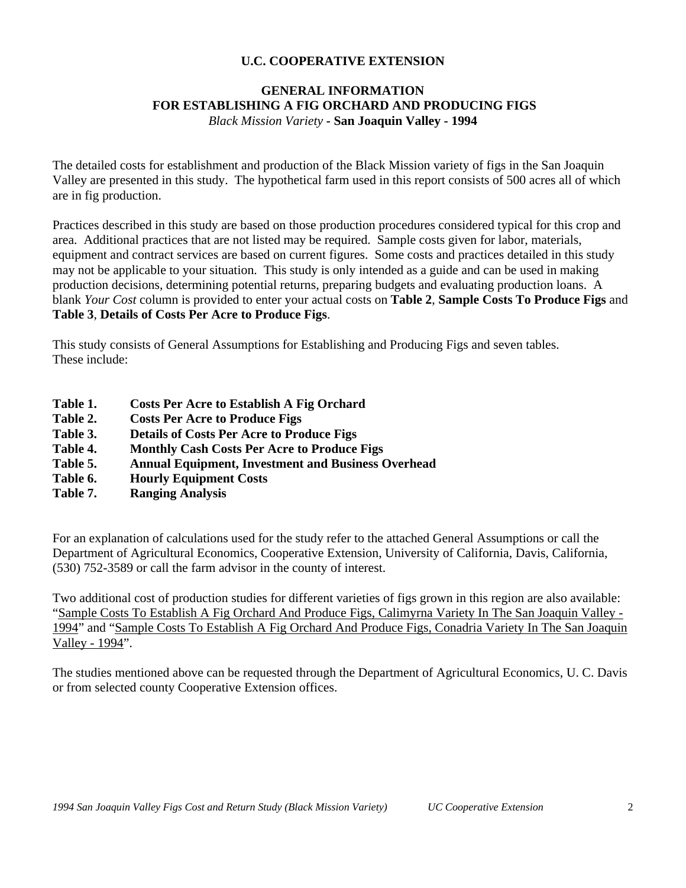### **GENERAL INFORMATION FOR ESTABLISHING A FIG ORCHARD AND PRODUCING FIGS** *Black Mission Variety -* **San Joaquin Valley - 1994**

The detailed costs for establishment and production of the Black Mission variety of figs in the San Joaquin Valley are presented in this study. The hypothetical farm used in this report consists of 500 acres all of which are in fig production.

Practices described in this study are based on those production procedures considered typical for this crop and area. Additional practices that are not listed may be required. Sample costs given for labor, materials, equipment and contract services are based on current figures. Some costs and practices detailed in this study may not be applicable to your situation. This study is only intended as a guide and can be used in making production decisions, determining potential returns, preparing budgets and evaluating production loans. A blank *Your Cost* column is provided to enter your actual costs on **Table 2**, **Sample Costs To Produce Figs** and **Table 3**, **Details of Costs Per Acre to Produce Figs**.

This study consists of General Assumptions for Establishing and Producing Figs and seven tables. These include:

- **Table 1. Costs Per Acre to Establish A Fig Orchard**
- **Table 2. Costs Per Acre to Produce Figs**
- **Table 3. Details of Costs Per Acre to Produce Figs**
- **Table 4. Monthly Cash Costs Per Acre to Produce Figs**
- **Table 5. Annual Equipment, Investment and Business Overhead**
- **Table 6. Hourly Equipment Costs**
- **Table 7. Ranging Analysis**

For an explanation of calculations used for the study refer to the attached General Assumptions or call the Department of Agricultural Economics, Cooperative Extension, University of California, Davis, California, (530) 752-3589 or call the farm advisor in the county of interest.

Two additional cost of production studies for different varieties of figs grown in this region are also available: "Sample Costs To Establish A Fig Orchard And Produce Figs, Calimyrna Variety In The San Joaquin Valley - 1994" and "Sample Costs To Establish A Fig Orchard And Produce Figs, Conadria Variety In The San Joaquin Valley - 1994".

The studies mentioned above can be requested through the Department of Agricultural Economics, U. C. Davis or from selected county Cooperative Extension offices.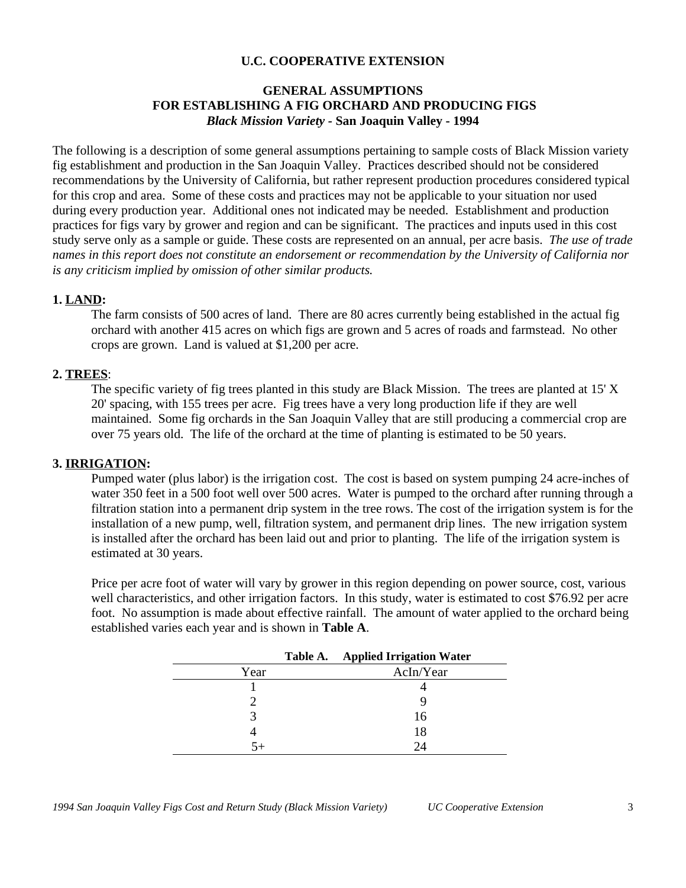### **GENERAL ASSUMPTIONS FOR ESTABLISHING A FIG ORCHARD AND PRODUCING FIGS** *Black Mission Variety -* **San Joaquin Valley - 1994**

The following is a description of some general assumptions pertaining to sample costs of Black Mission variety fig establishment and production in the San Joaquin Valley. Practices described should not be considered recommendations by the University of California, but rather represent production procedures considered typical for this crop and area. Some of these costs and practices may not be applicable to your situation nor used during every production year. Additional ones not indicated may be needed.Establishment and production practices for figs vary by grower and region and can be significant. The practices and inputs used in this cost study serve only as a sample or guide. These costs are represented on an annual, per acre basis. *The use of trade names in this report does not constitute an endorsement or recommendation by the University of California nor is any criticism implied by omission of other similar products.*

### **1. LAND:**

The farm consists of 500 acres of land. There are 80 acres currently being established in the actual fig orchard with another 415 acres on which figs are grown and 5 acres of roads and farmstead. No other crops are grown. Land is valued at \$1,200 per acre.

### **2. TREES**:

The specific variety of fig trees planted in this study are Black Mission. The trees are planted at 15' X 20' spacing, with 155 trees per acre. Fig trees have a very long production life if they are well maintained. Some fig orchards in the San Joaquin Valley that are still producing a commercial crop are over 75 years old. The life of the orchard at the time of planting is estimated to be 50 years.

### **3. IRRIGATION:**

Pumped water (plus labor) is the irrigation cost. The cost is based on system pumping 24 acre-inches of water 350 feet in a 500 foot well over 500 acres. Water is pumped to the orchard after running through a filtration station into a permanent drip system in the tree rows. The cost of the irrigation system is for the installation of a new pump, well, filtration system, and permanent drip lines. The new irrigation system is installed after the orchard has been laid out and prior to planting. The life of the irrigation system is estimated at 30 years.

Price per acre foot of water will vary by grower in this region depending on power source, cost, various well characteristics, and other irrigation factors. In this study, water is estimated to cost \$76.92 per acre foot. No assumption is made about effective rainfall. The amount of water applied to the orchard being established varies each year and is shown in **Table A**.

|      | Table A. | <b>Applied Irrigation Water</b> |
|------|----------|---------------------------------|
| Year |          | AcIn/Year                       |
|      |          |                                 |
|      |          |                                 |
|      |          | 16                              |
|      |          | 18                              |
| -54  |          | $\mathcal{D}$                   |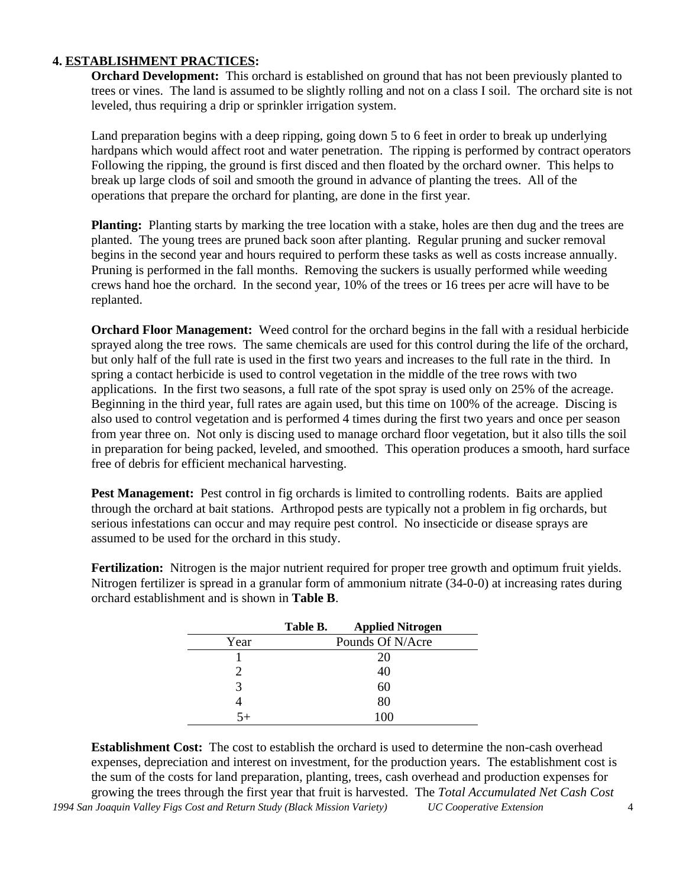### **4. ESTABLISHMENT PRACTICES:**

**Orchard Development:** This orchard is established on ground that has not been previously planted to trees or vines. The land is assumed to be slightly rolling and not on a class I soil. The orchard site is not leveled, thus requiring a drip or sprinkler irrigation system.

Land preparation begins with a deep ripping, going down 5 to 6 feet in order to break up underlying hardpans which would affect root and water penetration. The ripping is performed by contract operators Following the ripping, the ground is first disced and then floated by the orchard owner. This helps to break up large clods of soil and smooth the ground in advance of planting the trees. All of the operations that prepare the orchard for planting, are done in the first year.

**Planting:** Planting starts by marking the tree location with a stake, holes are then dug and the trees are planted. The young trees are pruned back soon after planting. Regular pruning and sucker removal begins in the second year and hours required to perform these tasks as well as costs increase annually. Pruning is performed in the fall months. Removing the suckers is usually performed while weeding crews hand hoe the orchard. In the second year, 10% of the trees or 16 trees per acre will have to be replanted.

**Orchard Floor Management:** Weed control for the orchard begins in the fall with a residual herbicide sprayed along the tree rows. The same chemicals are used for this control during the life of the orchard, but only half of the full rate is used in the first two years and increases to the full rate in the third. In spring a contact herbicide is used to control vegetation in the middle of the tree rows with two applications. In the first two seasons, a full rate of the spot spray is used only on 25% of the acreage. Beginning in the third year, full rates are again used, but this time on 100% of the acreage. Discing is also used to control vegetation and is performed 4 times during the first two years and once per season from year three on. Not only is discing used to manage orchard floor vegetation, but it also tills the soil in preparation for being packed, leveled, and smoothed. This operation produces a smooth, hard surface free of debris for efficient mechanical harvesting.

Pest Management: Pest control in fig orchards is limited to controlling rodents. Baits are applied through the orchard at bait stations. Arthropod pests are typically not a problem in fig orchards, but serious infestations can occur and may require pest control. No insecticide or disease sprays are assumed to be used for the orchard in this study.

**Fertilization:** Nitrogen is the major nutrient required for proper tree growth and optimum fruit yields. Nitrogen fertilizer is spread in a granular form of ammonium nitrate (34-0-0) at increasing rates during orchard establishment and is shown in **Table B**.

|      | Table B. | <b>Applied Nitrogen</b> |
|------|----------|-------------------------|
| Year |          | Pounds Of N/Acre        |
|      |          | 20                      |
|      |          | 40                      |
| 3    |          | 60                      |
|      |          | 80                      |
| 5⊥   |          | $\Omega$                |

*1994 San Joaquin Valley Figs Cost and Return Study (Black Mission Variety) UC Cooperative Extension* 4 **Establishment Cost:** The cost to establish the orchard is used to determine the non-cash overhead expenses, depreciation and interest on investment, for the production years. The establishment cost is the sum of the costs for land preparation, planting, trees, cash overhead and production expenses for growing the trees through the first year that fruit is harvested. The *Total Accumulated Net Cash Cost*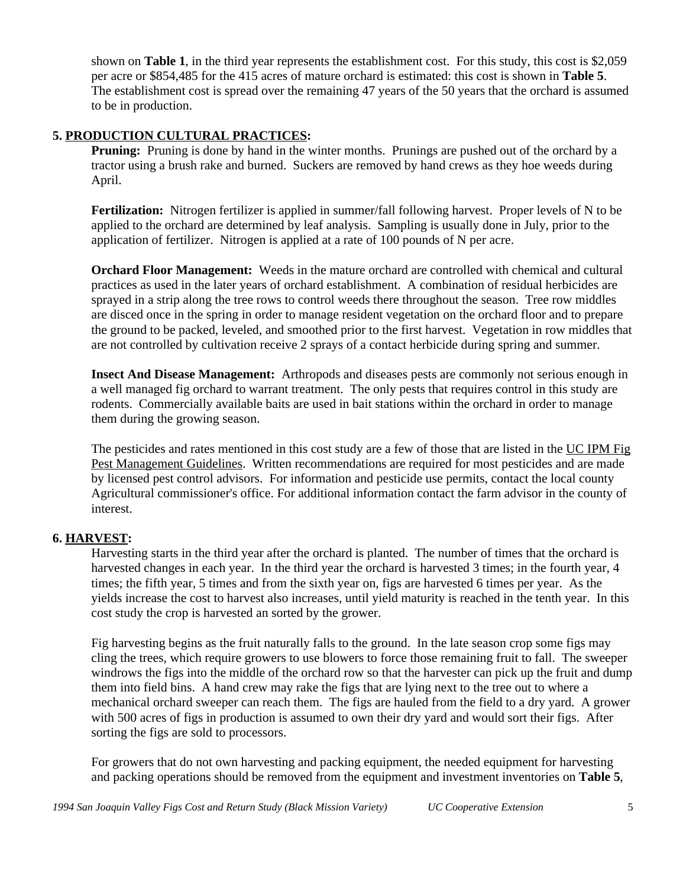shown on **Table 1**, in the third year represents the establishment cost. For this study, this cost is \$2,059 per acre or \$854,485 for the 415 acres of mature orchard is estimated: this cost is shown in **Table 5**. The establishment cost is spread over the remaining 47 years of the 50 years that the orchard is assumed to be in production.

### **5. PRODUCTION CULTURAL PRACTICES:**

**Pruning:** Pruning is done by hand in the winter months. Prunings are pushed out of the orchard by a tractor using a brush rake and burned. Suckers are removed by hand crews as they hoe weeds during April.

**Fertilization:** Nitrogen fertilizer is applied in summer/fall following harvest. Proper levels of N to be applied to the orchard are determined by leaf analysis. Sampling is usually done in July, prior to the application of fertilizer. Nitrogen is applied at a rate of 100 pounds of N per acre.

**Orchard Floor Management:** Weeds in the mature orchard are controlled with chemical and cultural practices as used in the later years of orchard establishment. A combination of residual herbicides are sprayed in a strip along the tree rows to control weeds there throughout the season. Tree row middles are disced once in the spring in order to manage resident vegetation on the orchard floor and to prepare the ground to be packed, leveled, and smoothed prior to the first harvest. Vegetation in row middles that are not controlled by cultivation receive 2 sprays of a contact herbicide during spring and summer.

**Insect And Disease Management:** Arthropods and diseases pests are commonly not serious enough in a well managed fig orchard to warrant treatment. The only pests that requires control in this study are rodents. Commercially available baits are used in bait stations within the orchard in order to manage them during the growing season.

The pesticides and rates mentioned in this cost study are a few of those that are listed in the UC IPM Fig Pest Management Guidelines. Written recommendations are required for most pesticides and are made by licensed pest control advisors. For information and pesticide use permits, contact the local county Agricultural commissioner's office. For additional information contact the farm advisor in the county of interest.

### **6. HARVEST:**

Harvesting starts in the third year after the orchard is planted. The number of times that the orchard is harvested changes in each year. In the third year the orchard is harvested 3 times; in the fourth year, 4 times; the fifth year, 5 times and from the sixth year on, figs are harvested 6 times per year. As the yields increase the cost to harvest also increases, until yield maturity is reached in the tenth year. In this cost study the crop is harvested an sorted by the grower.

Fig harvesting begins as the fruit naturally falls to the ground. In the late season crop some figs may cling the trees, which require growers to use blowers to force those remaining fruit to fall. The sweeper windrows the figs into the middle of the orchard row so that the harvester can pick up the fruit and dump them into field bins. A hand crew may rake the figs that are lying next to the tree out to where a mechanical orchard sweeper can reach them. The figs are hauled from the field to a dry yard. A grower with 500 acres of figs in production is assumed to own their dry yard and would sort their figs. After sorting the figs are sold to processors.

For growers that do not own harvesting and packing equipment, the needed equipment for harvesting and packing operations should be removed from the equipment and investment inventories on **Table 5**,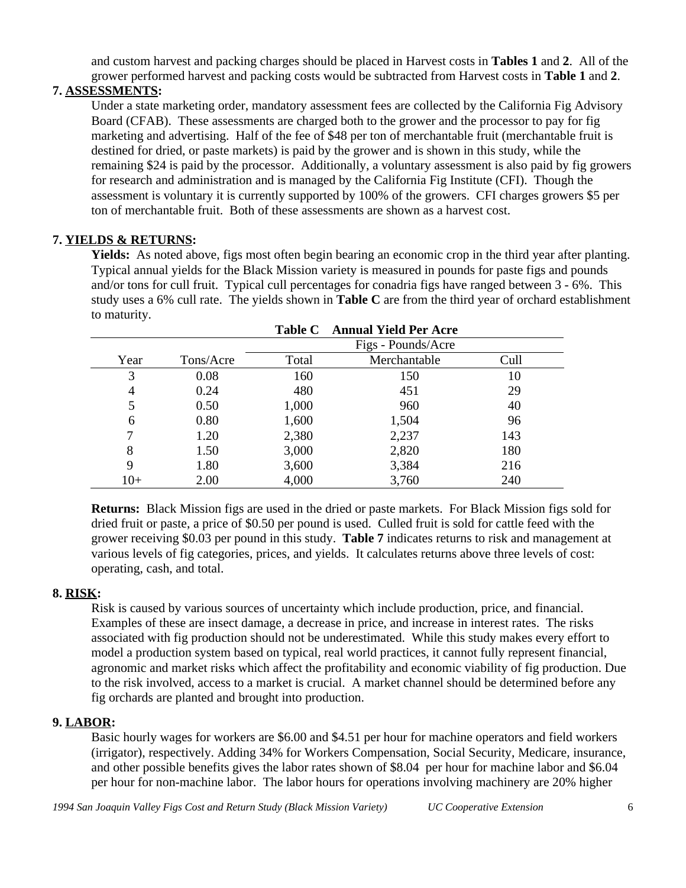and custom harvest and packing charges should be placed in Harvest costs in **Tables 1** and **2**. All of the grower performed harvest and packing costs would be subtracted from Harvest costs in **Table 1** and **2**.

## **7. ASSESSMENTS:**

Under a state marketing order, mandatory assessment fees are collected by the California Fig Advisory Board (CFAB). These assessments are charged both to the grower and the processor to pay for fig marketing and advertising. Half of the fee of \$48 per ton of merchantable fruit (merchantable fruit is destined for dried, or paste markets) is paid by the grower and is shown in this study, while the remaining \$24 is paid by the processor. Additionally, a voluntary assessment is also paid by fig growers for research and administration and is managed by the California Fig Institute (CFI). Though the assessment is voluntary it is currently supported by 100% of the growers. CFI charges growers \$5 per ton of merchantable fruit. Both of these assessments are shown as a harvest cost.

### **7. YIELDS & RETURNS:**

**Yields:** As noted above, figs most often begin bearing an economic crop in the third year after planting. Typical annual yields for the Black Mission variety is measured in pounds for paste figs and pounds and/or tons for cull fruit. Typical cull percentages for conadria figs have ranged between 3 - 6%. This study uses a 6% cull rate. The yields shown in **Table C** are from the third year of orchard establishment to maturity. **Table C Annual Yield Per Acre**

|       |           | Tapie C | Annual Yield Per Acre |      |  |
|-------|-----------|---------|-----------------------|------|--|
|       |           |         | Figs - Pounds/Acre    |      |  |
| Year  | Tons/Acre | Total   | Merchantable          | Cull |  |
| 3     | 0.08      | 160     | 150                   | 10   |  |
| 4     | 0.24      | 480     | 451                   | 29   |  |
| 5     | 0.50      | 1,000   | 960                   | 40   |  |
| 6     | 0.80      | 1,600   | 1,504                 | 96   |  |
|       | 1.20      | 2,380   | 2,237                 | 143  |  |
| 8     | 1.50      | 3,000   | 2,820                 | 180  |  |
| 9     | 1.80      | 3,600   | 3,384                 | 216  |  |
| $10+$ | 2.00      | 4,000   | 3,760                 | 240  |  |

**Returns:** Black Mission figs are used in the dried or paste markets. For Black Mission figs sold for dried fruit or paste, a price of \$0.50 per pound is used. Culled fruit is sold for cattle feed with the grower receiving \$0.03 per pound in this study. **Table 7** indicates returns to risk and management at various levels of fig categories, prices, and yields. It calculates returns above three levels of cost: operating, cash, and total.

### **8. RISK:**

Risk is caused by various sources of uncertainty which include production, price, and financial. Examples of these are insect damage, a decrease in price, and increase in interest rates. The risks associated with fig production should not be underestimated. While this study makes every effort to model a production system based on typical, real world practices, it cannot fully represent financial, agronomic and market risks which affect the profitability and economic viability of fig production. Due to the risk involved, access to a market is crucial. A market channel should be determined before any fig orchards are planted and brought into production.

### **9. LABOR:**

Basic hourly wages for workers are \$6.00 and \$4.51 per hour for machine operators and field workers (irrigator), respectively. Adding 34% for Workers Compensation, Social Security, Medicare, insurance, and other possible benefits gives the labor rates shown of \$8.04 per hour for machine labor and \$6.04 per hour for non-machine labor. The labor hours for operations involving machinery are 20% higher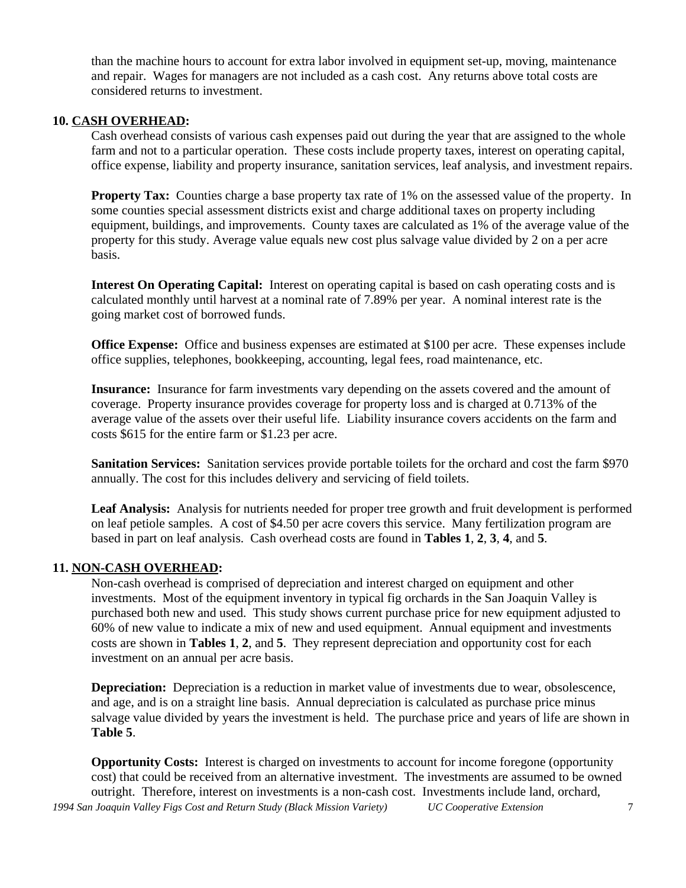than the machine hours to account for extra labor involved in equipment set-up, moving, maintenance and repair. Wages for managers are not included as a cash cost. Any returns above total costs are considered returns to investment.

### **10. CASH OVERHEAD:**

Cash overhead consists of various cash expenses paid out during the year that are assigned to the whole farm and not to a particular operation. These costs include property taxes, interest on operating capital, office expense, liability and property insurance, sanitation services, leaf analysis, and investment repairs.

**Property Tax:** Counties charge a base property tax rate of 1% on the assessed value of the property. In some counties special assessment districts exist and charge additional taxes on property including equipment, buildings, and improvements. County taxes are calculated as 1% of the average value of the property for this study. Average value equals new cost plus salvage value divided by 2 on a per acre basis.

**Interest On Operating Capital:** Interest on operating capital is based on cash operating costs and is calculated monthly until harvest at a nominal rate of 7.89% per year. A nominal interest rate is the going market cost of borrowed funds.

**Office Expense:** Office and business expenses are estimated at \$100 per acre. These expenses include office supplies, telephones, bookkeeping, accounting, legal fees, road maintenance, etc.

**Insurance:** Insurance for farm investments vary depending on the assets covered and the amount of coverage. Property insurance provides coverage for property loss and is charged at 0.713% of the average value of the assets over their useful life. Liability insurance covers accidents on the farm and costs \$615 for the entire farm or \$1.23 per acre.

**Sanitation Services:** Sanitation services provide portable toilets for the orchard and cost the farm \$970 annually. The cost for this includes delivery and servicing of field toilets.

**Leaf Analysis:** Analysis for nutrients needed for proper tree growth and fruit development is performed on leaf petiole samples. A cost of \$4.50 per acre covers this service. Many fertilization program are based in part on leaf analysis. Cash overhead costs are found in **Tables 1**, **2**, **3**, **4**, and **5**.

### **11. NON-CASH OVERHEAD:**

Non-cash overhead is comprised of depreciation and interest charged on equipment and other investments. Most of the equipment inventory in typical fig orchards in the San Joaquin Valley is purchased both new and used. This study shows current purchase price for new equipment adjusted to 60% of new value to indicate a mix of new and used equipment. Annual equipment and investments costs are shown in **Tables 1**, **2**, and **5**. They represent depreciation and opportunity cost for each investment on an annual per acre basis.

**Depreciation:** Depreciation is a reduction in market value of investments due to wear, obsolescence, and age, and is on a straight line basis. Annual depreciation is calculated as purchase price minus salvage value divided by years the investment is held. The purchase price and years of life are shown in **Table 5**.

*1994 San Joaquin Valley Figs Cost and Return Study (Black Mission Variety) UC Cooperative Extension* 7 **Opportunity Costs:** Interest is charged on investments to account for income foregone (opportunity cost) that could be received from an alternative investment. The investments are assumed to be owned outright. Therefore, interest on investments is a non-cash cost. Investments include land, orchard,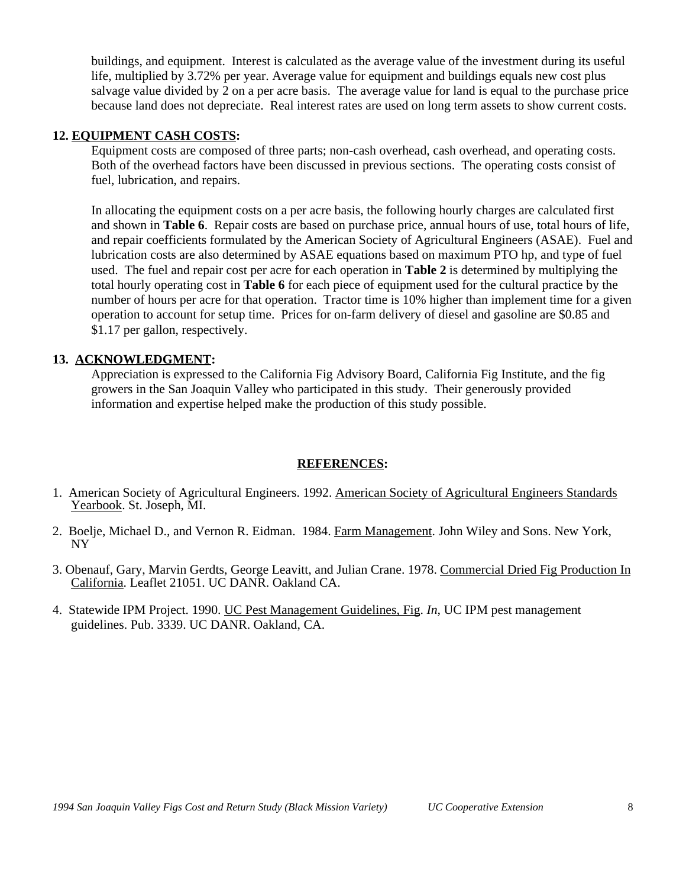buildings, and equipment. Interest is calculated as the average value of the investment during its useful life, multiplied by 3.72% per year. Average value for equipment and buildings equals new cost plus salvage value divided by 2 on a per acre basis. The average value for land is equal to the purchase price because land does not depreciate. Real interest rates are used on long term assets to show current costs.

### **12. EQUIPMENT CASH COSTS:**

Equipment costs are composed of three parts; non-cash overhead, cash overhead, and operating costs. Both of the overhead factors have been discussed in previous sections. The operating costs consist of fuel, lubrication, and repairs.

In allocating the equipment costs on a per acre basis, the following hourly charges are calculated first and shown in **Table 6**. Repair costs are based on purchase price, annual hours of use, total hours of life, and repair coefficients formulated by the American Society of Agricultural Engineers (ASAE). Fuel and lubrication costs are also determined by ASAE equations based on maximum PTO hp, and type of fuel used. The fuel and repair cost per acre for each operation in **Table 2** is determined by multiplying the total hourly operating cost in **Table 6** for each piece of equipment used for the cultural practice by the number of hours per acre for that operation. Tractor time is 10% higher than implement time for a given operation to account for setup time. Prices for on-farm delivery of diesel and gasoline are \$0.85 and \$1.17 per gallon, respectively.

### **13. ACKNOWLEDGMENT:**

Appreciation is expressed to the California Fig Advisory Board, California Fig Institute, and the fig growers in the San Joaquin Valley who participated in this study. Their generously provided information and expertise helped make the production of this study possible.

### **REFERENCES:**

- 1. American Society of Agricultural Engineers. 1992. American Society of Agricultural Engineers Standards Yearbook. St. Joseph, MI.
- 2. Boelje, Michael D., and Vernon R. Eidman. 1984. Farm Management. John Wiley and Sons. New York, NY
- 3. Obenauf, Gary, Marvin Gerdts, George Leavitt, and Julian Crane. 1978. Commercial Dried Fig Production In California. Leaflet 21051. UC DANR. Oakland CA.
- 4. Statewide IPM Project. 1990. UC Pest Management Guidelines, Fig. *In*, UC IPM pest management guidelines. Pub. 3339. UC DANR. Oakland, CA.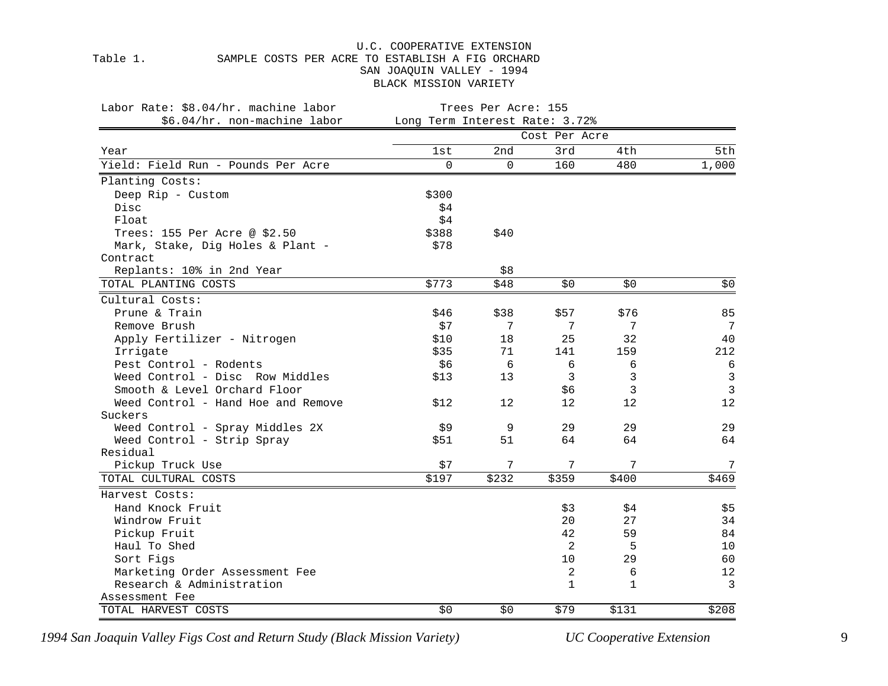### Table 1. SAMPLE COSTS PER ACRE TO ESTABLISH A FIG ORCHARD SAN JOAQUIN VALLEY - 1994 BLACK MISSION VARIETY

| Labor Rate: \$8.04/hr. machine labor | Trees Per Acre: 155            |          |               |       |              |  |  |  |  |
|--------------------------------------|--------------------------------|----------|---------------|-------|--------------|--|--|--|--|
| \$6.04/hr. non-machine labor         | Long Term Interest Rate: 3.72% |          |               |       |              |  |  |  |  |
|                                      |                                |          | Cost Per Acre |       |              |  |  |  |  |
| Year                                 | lst                            | 2nd      | 3rd           | 4th   | 5th          |  |  |  |  |
| Yield: Field Run - Pounds Per Acre   | $\Omega$                       | $\Omega$ | 160           | 480   | 1,000        |  |  |  |  |
| Planting Costs:                      |                                |          |               |       |              |  |  |  |  |
| Deep Rip - Custom                    | \$300                          |          |               |       |              |  |  |  |  |
| Disc                                 | \$4                            |          |               |       |              |  |  |  |  |
| Float                                | \$4                            |          |               |       |              |  |  |  |  |
| Trees: 155 Per Acre @ \$2.50         | \$388                          | \$40     |               |       |              |  |  |  |  |
| Mark, Stake, Dig Holes & Plant -     | \$78                           |          |               |       |              |  |  |  |  |
| Contract                             |                                |          |               |       |              |  |  |  |  |
| Replants: 10% in 2nd Year            |                                | \$8      |               |       |              |  |  |  |  |
| TOTAL PLANTING COSTS                 | \$773                          | \$48     | \$0\$         | \$0   | \$0          |  |  |  |  |
| Cultural Costs:                      |                                |          |               |       |              |  |  |  |  |
| Prune & Train                        | \$46                           | \$38     | \$57          | \$76  | 85           |  |  |  |  |
| Remove Brush                         | \$7                            | 7        | 7             | 7     | 7            |  |  |  |  |
| Apply Fertilizer - Nitrogen          | \$10                           | 18       | 25            | 32    | 40           |  |  |  |  |
| Irrigate                             | \$35                           | 71       | 141           | 159   | 212          |  |  |  |  |
| Pest Control - Rodents               | \$6                            | 6        | 6             | 6     | 6            |  |  |  |  |
| Weed Control - Disc Row Middles      | \$13                           | 13       | 3             | 3     | $\mathbf{3}$ |  |  |  |  |
| Smooth & Level Orchard Floor         |                                |          | \$6           | 3     | $\mathbf{3}$ |  |  |  |  |
| Weed Control - Hand Hoe and Remove   | \$12                           | 12       | 12            | 12    | 12           |  |  |  |  |
| Suckers                              |                                |          |               |       |              |  |  |  |  |
| Weed Control - Spray Middles 2X      | \$9                            | 9        | 29            | 29    | 29           |  |  |  |  |
| Weed Control - Strip Spray           | \$51                           | 51       | 64            | 64    | 64           |  |  |  |  |
| Residual                             |                                |          |               |       |              |  |  |  |  |
| Pickup Truck Use                     | \$7                            | 7        | 7             | 7     | 7            |  |  |  |  |
| TOTAL CULTURAL COSTS                 | \$197                          | \$232    | \$359         | \$400 | \$469        |  |  |  |  |
| Harvest Costs:                       |                                |          |               |       |              |  |  |  |  |
| Hand Knock Fruit                     |                                |          | \$3           | \$4   | \$5          |  |  |  |  |
| Windrow Fruit                        |                                |          | 20            | 27    | 34           |  |  |  |  |
| Pickup Fruit                         |                                |          | 42            | 59    | 84           |  |  |  |  |
| Haul To Shed                         |                                |          | 2             | 5     | 10           |  |  |  |  |
| Sort Figs                            |                                |          | 10            | 29    | 60           |  |  |  |  |
| Marketing Order Assessment Fee       |                                |          | 2             | 6     | 12           |  |  |  |  |
| Research & Administration            |                                |          | $\mathbf{1}$  | 1     | 3            |  |  |  |  |
| Assessment Fee                       |                                |          |               |       |              |  |  |  |  |
| TOTAL HARVEST COSTS                  | \$0                            | \$0      | \$79          | \$131 | \$208        |  |  |  |  |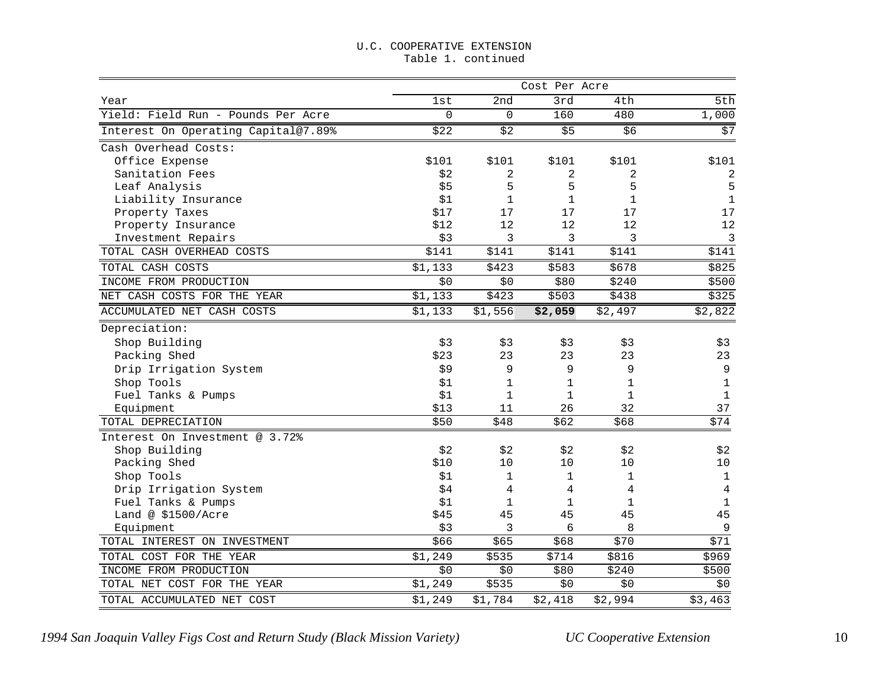#### U.C. COOPERATIVE EXTENSION Table 1. continued

|                                     |             |              | Cost Per Acre |              |                |
|-------------------------------------|-------------|--------------|---------------|--------------|----------------|
| Year                                | 1st         | 2nd          | 3rd           | 4th          | 5th            |
| Yield: Field Run - Pounds Per Acre  | $\mathbf 0$ | $\mathbf 0$  | 160           | 480          | 1,000          |
| Interest On Operating Capital@7.89% | \$22        | \$2          | \$5           | \$6          | \$7            |
| Cash Overhead Costs:                |             |              |               |              |                |
| Office Expense                      | \$101       | \$101        | \$101         | \$101        | \$101          |
| Sanitation Fees                     | \$2         | 2            | 2             | 2            | $\overline{c}$ |
| Leaf Analysis                       | \$5         | 5            | 5             | 5            | 5              |
| Liability Insurance                 | \$1         | 1            | $\mathbf{1}$  | 1            | $\mathbf{1}$   |
| Property Taxes                      | \$17        | 17           | 17            | 17           | 17             |
| Property Insurance                  | \$12        | 12           | 12            | 12           | 12             |
| Investment Repairs                  | \$3         | 3            | 3             | 3            | $\mathbf{3}$   |
| TOTAL CASH OVERHEAD COSTS           | \$141       | \$141        | \$141         | \$141        | \$141          |
| TOTAL CASH COSTS                    | \$1,133     | \$423        | \$583         | \$678        | \$825          |
| INCOME FROM PRODUCTION              | \$0         | \$0          | \$80          | \$240        | \$500          |
| NET CASH COSTS FOR THE YEAR         | \$1,133     | \$423        | \$503         | \$438        | \$325          |
| ACCUMULATED NET CASH COSTS          | \$1,133     | \$1,556      | \$2,059       | \$2,497      | \$2,822        |
| Depreciation:                       |             |              |               |              |                |
| Shop Building                       | \$3         | \$3          | \$3           | \$3          | \$3            |
| Packing Shed                        | \$23        | 23           | 23            | 23           | 23             |
| Drip Irrigation System              | \$9         | 9            | 9             | 9            | 9              |
| Shop Tools                          | \$1         | 1            | 1             | 1            | $\mathbf 1$    |
| Fuel Tanks & Pumps                  | \$1         | $\mathbf{1}$ | $\mathbf{1}$  | $\mathbf{1}$ | $\mathbf{1}$   |
| Equipment                           | \$13        | 11           | 26            | 32           | 37             |
| TOTAL DEPRECIATION                  | \$50        | \$48         | \$62          | \$68         | \$74           |
| Interest On Investment @ 3.72%      |             |              |               |              |                |
| Shop Building                       | \$2         | \$2          | \$2           | \$2          | \$2            |
| Packing Shed                        | \$10        | 10           | 10            | 10           | 10             |
| Shop Tools                          | \$1         | $\mathbf 1$  | 1             | 1            | 1              |
| Drip Irrigation System              | \$4         | 4            | 4             | 4            | 4              |
| Fuel Tanks & Pumps                  | \$1         | 1            | 1             | 1            | $\mathbf{1}$   |
| Land @ \$1500/Acre                  | \$45        | 45           | 45            | 45           | 45             |
| Equipment                           | \$3         | 3            | 6             | 8            | $\overline{9}$ |
| TOTAL INTEREST ON INVESTMENT        | \$66        | \$65         | \$68          | \$70         | \$71           |
| TOTAL COST FOR THE YEAR             | \$1,249     | \$535        | \$714         | \$816        | \$969          |
| INCOME FROM PRODUCTION              | \$0         | \$0          | \$80          | \$240        | \$500          |
| TOTAL NET COST FOR THE YEAR         | \$1,249     | \$535        | \$0           | \$0          | \$0            |
| TOTAL ACCUMULATED NET COST          | \$1,249     | \$1,784      | \$2,418       | \$2,994      | \$3,463        |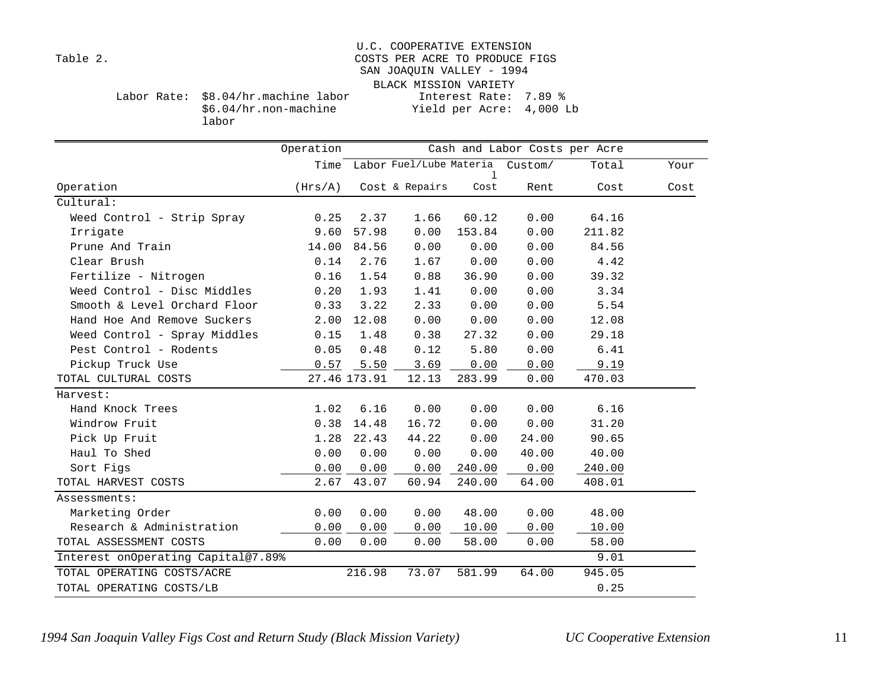### U.C. COOPERATIVE EXTENSION Table 2. Table 2. COSTS PER ACRE TO PRODUCE FIGS SAN JOAQUIN VALLEY - 1994 BLACK MISSION VARIETY Labor Rate: \$8.04/hr.machine labor Interest Rate: 7.89 % Yield per Acre: 4,000 Lb

\$6.04/hr.non-machine labor

|                                      |              | Cash and Labor Costs per Acre        |        |       |        |      |  |  |
|--------------------------------------|--------------|--------------------------------------|--------|-------|--------|------|--|--|
|                                      |              | Time Labor Fuel/Lube Materia Custom/ | ı      |       | Total  | Your |  |  |
| Operation<br>(Hrs/A)                 |              | Cost & Repairs                       | Cost   | Rent  | Cost   | Cost |  |  |
| Cultural:                            |              |                                      |        |       |        |      |  |  |
| Weed Control - Strip Spray<br>0.25   | 2.37         | 1.66                                 | 60.12  | 0.00  | 64.16  |      |  |  |
| 9.60<br>Irrigate                     | 57.98        | 0.00                                 | 153.84 | 0.00  | 211.82 |      |  |  |
| Prune And Train<br>14.00             | 84.56        | 0.00                                 | 0.00   | 0.00  | 84.56  |      |  |  |
| Clear Brush<br>0.14                  | 2.76         | 1.67                                 | 0.00   | 0.00  | 4.42   |      |  |  |
| Fertilize - Nitrogen<br>0.16         | 1.54         | 0.88                                 | 36.90  | 0.00  | 39.32  |      |  |  |
| Weed Control - Disc Middles<br>0.20  | 1.93         | 1.41                                 | 0.00   | 0.00  | 3.34   |      |  |  |
| Smooth & Level Orchard Floor<br>0.33 | 3.22         | 2.33                                 | 0.00   | 0.00  | 5.54   |      |  |  |
| Hand Hoe And Remove Suckers<br>2.00  | 12.08        | 0.00                                 | 0.00   | 0.00  | 12.08  |      |  |  |
| Weed Control - Spray Middles<br>0.15 | 1.48         | 0.38                                 | 27.32  | 0.00  | 29.18  |      |  |  |
| Pest Control - Rodents<br>0.05       | 0.48         | 0.12                                 | 5.80   | 0.00  | 6.41   |      |  |  |
| Pickup Truck Use<br>0.57             | 5.50         | 3.69                                 | 0.00   | 0.00  | 9.19   |      |  |  |
| TOTAL CULTURAL COSTS                 | 27.46 173.91 | 12.13                                | 283.99 | 0.00  | 470.03 |      |  |  |
| Harvest:                             |              |                                      |        |       |        |      |  |  |
| Hand Knock Trees<br>1.02             | 6.16         | 0.00                                 | 0.00   | 0.00  | 6.16   |      |  |  |
| Windrow Fruit<br>0.38                | 14.48        | 16.72                                | 0.00   | 0.00  | 31.20  |      |  |  |
| Pick Up Fruit<br>1.28                | 22.43        | 44.22                                | 0.00   | 24.00 | 90.65  |      |  |  |
| Haul To Shed<br>0.00                 | 0.00         | 0.00                                 | 0.00   | 40.00 | 40.00  |      |  |  |
| Sort Figs<br>0.00                    | 0.00         | 0.00                                 | 240.00 | 0.00  | 240.00 |      |  |  |
| 2.67<br>TOTAL HARVEST COSTS          | 43.07        | 60.94                                | 240.00 | 64.00 | 408.01 |      |  |  |
| Assessments:                         |              |                                      |        |       |        |      |  |  |
| Marketing Order<br>0.00              | 0.00         | 0.00                                 | 48.00  | 0.00  | 48.00  |      |  |  |
| Research & Administration<br>0.00    | 0.00         | 0.00                                 | 10.00  | 0.00  | 10.00  |      |  |  |
| 0.00<br>TOTAL ASSESSMENT COSTS       | 0.00         | 0.00                                 | 58.00  | 0.00  | 58.00  |      |  |  |
| Interest onOperating Capital@7.89%   |              |                                      |        |       | 9.01   |      |  |  |
| TOTAL OPERATING COSTS/ACRE           | 216.98       | 73.07                                | 581.99 | 64.00 | 945.05 |      |  |  |
| TOTAL OPERATING COSTS/LB             |              |                                      |        |       | 0.25   |      |  |  |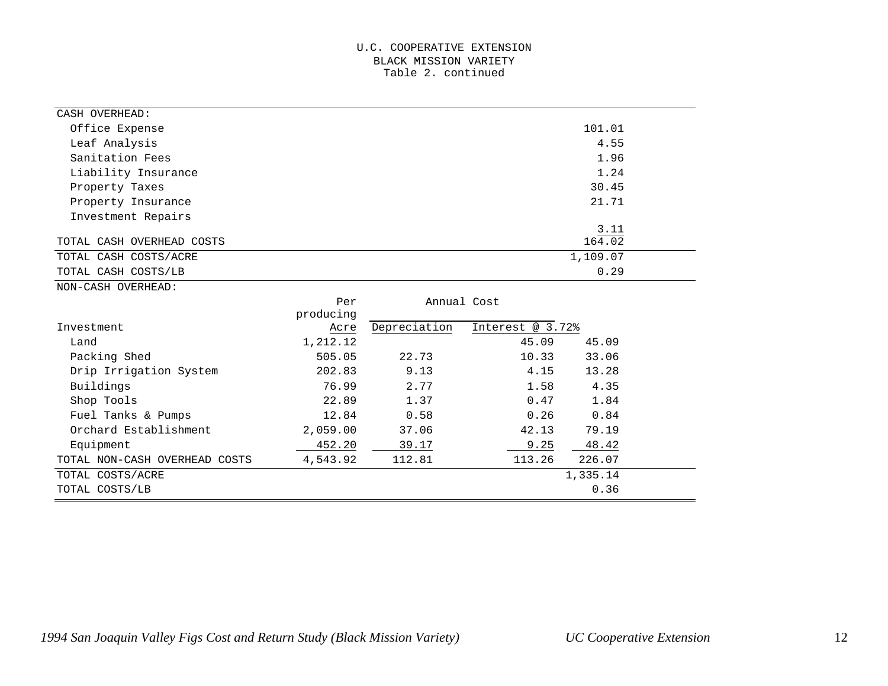#### U.C. COOPERATIVE EXTENSION BLACK MISSION VARIETY Table 2. continued

| CASH OVERHEAD:                |           |              |                  |                |  |
|-------------------------------|-----------|--------------|------------------|----------------|--|
| Office Expense                |           |              |                  | 101.01         |  |
| Leaf Analysis                 |           |              |                  | 4.55           |  |
| Sanitation Fees               |           |              |                  | 1.96           |  |
| Liability Insurance           |           |              |                  | 1.24           |  |
| Property Taxes                |           |              |                  | 30.45          |  |
| Property Insurance            |           |              |                  | 21.71          |  |
| Investment Repairs            |           |              |                  |                |  |
| TOTAL CASH OVERHEAD COSTS     |           |              |                  | 3.11<br>164.02 |  |
| TOTAL CASH COSTS/ACRE         |           |              |                  | 1,109.07       |  |
| TOTAL CASH COSTS/LB           |           |              |                  | 0.29           |  |
| NON-CASH OVERHEAD:            |           |              |                  |                |  |
|                               | Per       | Annual Cost  |                  |                |  |
|                               | producing |              |                  |                |  |
| Investment                    | Acre      | Depreciation | Interest @ 3.72% |                |  |
| Land                          | 1,212.12  |              | 45.09            | 45.09          |  |
| Packing Shed                  | 505.05    | 22.73        | 10.33            | 33.06          |  |
| Drip Irrigation System        | 202.83    | 9.13         | 4.15             | 13.28          |  |
| Buildings                     | 76.99     | 2.77         | 1.58             | 4.35           |  |
| Shop Tools                    | 22.89     | 1.37         | 0.47             | 1.84           |  |
| Fuel Tanks & Pumps            | 12.84     | 0.58         | 0.26             | 0.84           |  |
| Orchard Establishment         | 2,059.00  | 37.06        | 42.13            | 79.19          |  |
| Equipment                     | 452.20    | 39.17        | 9.25             | 48.42          |  |
| TOTAL NON-CASH OVERHEAD COSTS | 4,543.92  | 112.81       | 113.26           | 226.07         |  |
| TOTAL COSTS/ACRE              |           |              |                  | 1,335.14       |  |
| TOTAL COSTS/LB                |           |              |                  | 0.36           |  |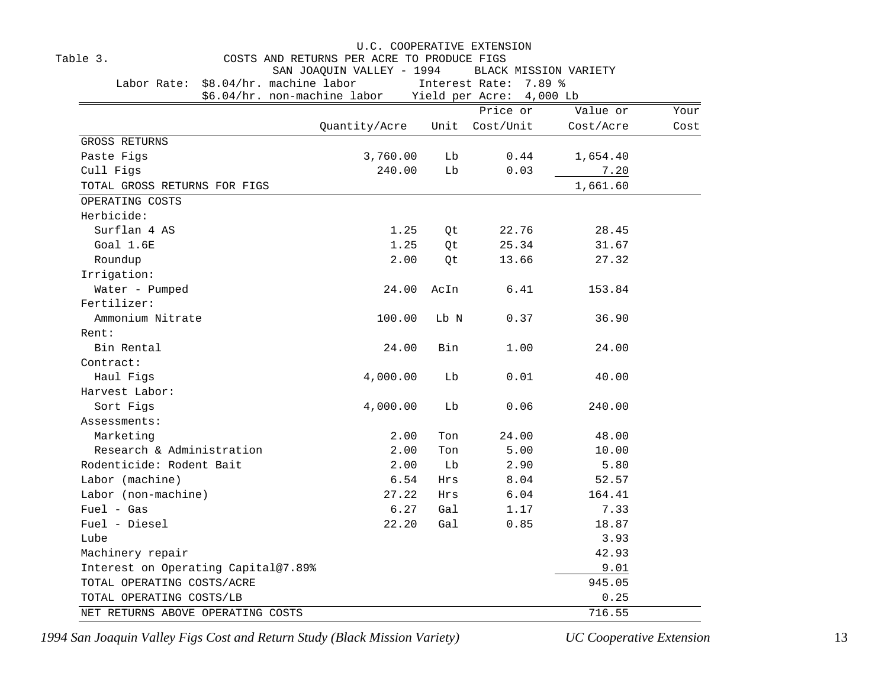|                                      |                                            |      | U.C. COOPERATIVE EXTENSION                     |           |      |
|--------------------------------------|--------------------------------------------|------|------------------------------------------------|-----------|------|
| Table 3.                             | COSTS AND RETURNS PER ACRE TO PRODUCE FIGS |      |                                                |           |      |
| Labor Rate: \$8.04/hr. machine labor | SAN JOAQUIN VALLEY - 1994                  |      | BLACK MISSION VARIETY<br>Interest Rate: 7.89 % |           |      |
| \$6.04/hr. non-machine labor         |                                            |      | Yield per Acre: 4,000 Lb                       |           |      |
|                                      |                                            |      | Price or                                       | Value or  | Your |
|                                      | Quantity/Acre                              | Unit | Cost/Unit                                      | Cost/Acre | Cost |
| <b>GROSS RETURNS</b>                 |                                            |      |                                                |           |      |
| Paste Figs                           | 3,760.00                                   | Lb   | 0.44                                           | 1,654.40  |      |
| Cull Figs                            | 240.00                                     | Lb   | 0.03                                           | 7.20      |      |
| TOTAL GROSS RETURNS FOR FIGS         |                                            |      |                                                | 1,661.60  |      |
| OPERATING COSTS                      |                                            |      |                                                |           |      |
| Herbicide:                           |                                            |      |                                                |           |      |
| Surflan 4 AS                         | 1.25                                       | Qt   | 22.76                                          | 28.45     |      |
| Goal 1.6E                            | 1.25                                       | Qt   | 25.34                                          | 31.67     |      |
| Roundup                              | 2.00                                       | 0t   | 13.66                                          | 27.32     |      |
| Irrigation:                          |                                            |      |                                                |           |      |
| Water - Pumped                       | 24.00                                      | AcIn | 6.41                                           | 153.84    |      |
| Fertilizer:                          |                                            |      |                                                |           |      |
| Ammonium Nitrate                     | 100.00                                     | Lb N | 0.37                                           | 36.90     |      |
| Rent:                                |                                            |      |                                                |           |      |
| Bin Rental                           | 24.00                                      | Bin  | 1.00                                           | 24.00     |      |
| Contract:                            |                                            |      |                                                |           |      |
| Haul Figs                            | 4,000.00                                   | Lb   | 0.01                                           | 40.00     |      |
| Harvest Labor:                       |                                            |      |                                                |           |      |
| Sort Figs                            | 4,000.00                                   | Lb   | 0.06                                           | 240.00    |      |
| Assessments:                         |                                            |      |                                                |           |      |
| Marketing                            | 2.00                                       | Ton  | 24.00                                          | 48.00     |      |
| Research & Administration            | 2.00                                       | Ton  | 5.00                                           | 10.00     |      |
| Rodenticide: Rodent Bait             | 2.00                                       | Lb   | 2.90                                           | 5.80      |      |
| Labor (machine)                      | 6.54                                       | Hrs  | 8.04                                           | 52.57     |      |
| Labor (non-machine)                  | 27.22                                      | Hrs  | 6.04                                           | 164.41    |      |
| $Fuel - Gas$                         | 6.27                                       | Gal  | 1.17                                           | 7.33      |      |
| Fuel - Diesel                        | 22.20                                      | Gal  | 0.85                                           | 18.87     |      |
| Lube                                 |                                            |      |                                                | 3.93      |      |
| Machinery repair                     |                                            |      |                                                | 42.93     |      |
| Interest on Operating Capital@7.89%  |                                            |      |                                                | 9.01      |      |
| TOTAL OPERATING COSTS/ACRE           |                                            |      |                                                | 945.05    |      |
| TOTAL OPERATING COSTS/LB             |                                            |      |                                                | 0.25      |      |
| NET RETURNS ABOVE OPERATING COSTS    |                                            |      |                                                | 716.55    |      |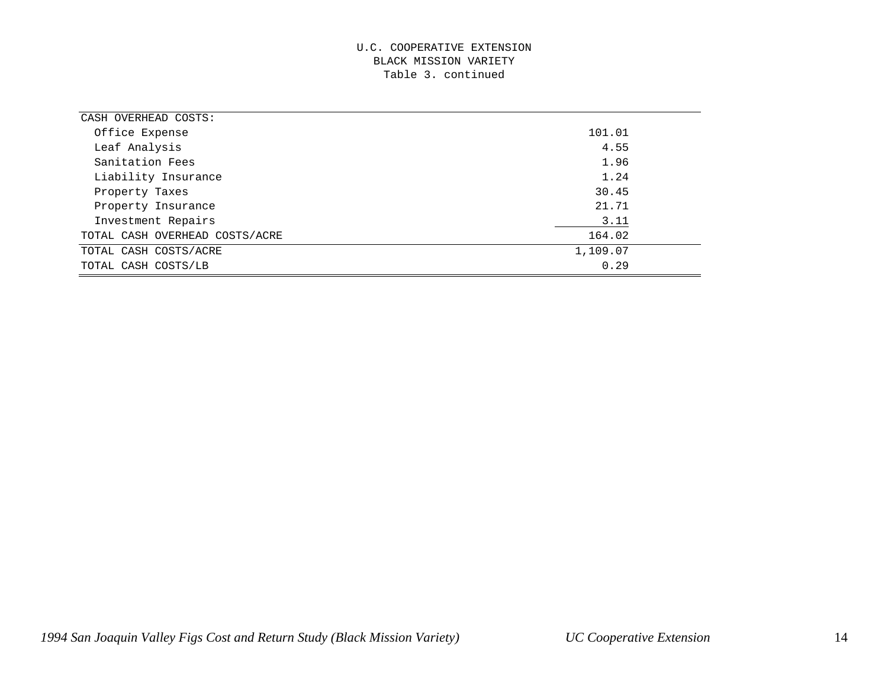#### U.C. COOPERATIVE EXTENSION BLACK MISSION VARIETY Table 3. continued

| CASH OVERHEAD COSTS:           |          |
|--------------------------------|----------|
| Office Expense                 | 101.01   |
| Leaf Analysis                  | 4.55     |
| Sanitation Fees                | 1.96     |
| Liability Insurance            | 1.24     |
| Property Taxes                 | 30.45    |
| Property Insurance             | 21.71    |
| Investment Repairs             | 3.11     |
| TOTAL CASH OVERHEAD COSTS/ACRE | 164.02   |
| TOTAL CASH COSTS/ACRE          | 1,109.07 |
| TOTAL CASH COSTS/LB            | 0.29     |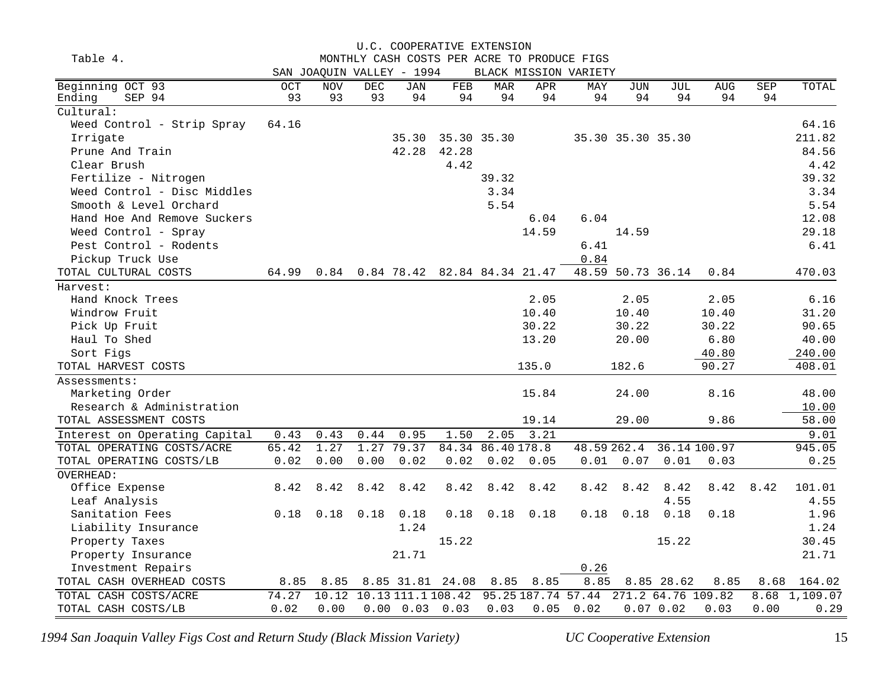|                               |       |                           |            |            | U.C. COOPERATIVE EXTENSION   |                   |                    |                                             |                   |                    |              |      |               |
|-------------------------------|-------|---------------------------|------------|------------|------------------------------|-------------------|--------------------|---------------------------------------------|-------------------|--------------------|--------------|------|---------------|
| Table 4.                      |       |                           |            |            |                              |                   |                    | MONTHLY CASH COSTS PER ACRE TO PRODUCE FIGS |                   |                    |              |      |               |
|                               |       | SAN JOAQUIN VALLEY - 1994 |            |            |                              |                   |                    | BLACK MISSION VARIETY                       |                   |                    |              |      |               |
| Beginning OCT 93              | OCT   | <b>NOV</b>                | <b>DEC</b> | <b>JAN</b> | FEB                          | <b>MAR</b>        | APR                | MAY                                         | <b>JUN</b>        | JUL                | <b>AUG</b>   | SEP  | TOTAL         |
| Ending<br>SEP 94              | 93    | 93                        | 93         | 94         | 94                           | 94                | 94                 | 94                                          | 94                | 94                 | 94           | 94   |               |
| Cultural:                     |       |                           |            |            |                              |                   |                    |                                             |                   |                    |              |      |               |
| Weed Control - Strip Spray    | 64.16 |                           |            |            |                              |                   |                    |                                             |                   |                    |              |      | 64.16         |
| Irrigate                      |       |                           |            | 35.30      | 35.30 35.30                  |                   |                    |                                             | 35.30 35.30 35.30 |                    |              |      | 211.82        |
| Prune And Train               |       |                           |            | 42.28      | 42.28                        |                   |                    |                                             |                   |                    |              |      | 84.56         |
| Clear Brush                   |       |                           |            |            | 4.42                         |                   |                    |                                             |                   |                    |              |      | 4.42          |
| Fertilize - Nitrogen          |       |                           |            |            |                              | 39.32             |                    |                                             |                   |                    |              |      | 39.32         |
| Weed Control - Disc Middles   |       |                           |            |            |                              | 3.34              |                    |                                             |                   |                    |              |      | 3.34          |
| Smooth & Level Orchard        |       |                           |            |            |                              | 5.54              |                    |                                             |                   |                    |              |      | 5.54          |
| Hand Hoe And Remove Suckers   |       |                           |            |            |                              |                   | 6.04               | 6.04                                        |                   |                    |              |      | 12.08         |
| Weed Control - Spray          |       |                           |            |            |                              |                   | 14.59              |                                             | 14.59             |                    |              |      | 29.18         |
| Pest Control - Rodents        |       |                           |            |            |                              |                   |                    | 6.41                                        |                   |                    |              |      | 6.41          |
| Pickup Truck Use              |       |                           |            |            |                              |                   |                    | 0.84                                        |                   |                    |              |      |               |
| TOTAL CULTURAL COSTS          | 64.99 | 0.84                      |            |            | 0.84 78.42 82.84 84.34 21.47 |                   |                    |                                             | 48.59 50.73 36.14 |                    | 0.84         |      | 470.03        |
| Harvest:                      |       |                           |            |            |                              |                   |                    |                                             |                   |                    |              |      |               |
| Hand Knock Trees              |       |                           |            |            |                              |                   | 2.05               |                                             | 2.05              |                    | 2.05         |      | 6.16          |
| Windrow Fruit                 |       |                           |            |            |                              |                   | 10.40              |                                             | 10.40             |                    | 10.40        |      | 31.20         |
| Pick Up Fruit                 |       |                           |            |            |                              |                   | 30.22              |                                             | 30.22             |                    | 30.22        |      | 90.65         |
| Haul To Shed                  |       |                           |            |            |                              |                   | 13.20              |                                             | 20.00             |                    | 6.80         |      | 40.00         |
| Sort Figs                     |       |                           |            |            |                              |                   |                    |                                             |                   |                    | 40.80        |      | 240.00        |
| TOTAL HARVEST COSTS           |       |                           |            |            |                              |                   | 135.0              |                                             | 182.6             |                    | 90.27        |      | 408.01        |
| Assessments:                  |       |                           |            |            |                              |                   |                    |                                             |                   |                    |              |      |               |
| Marketing Order               |       |                           |            |            |                              |                   | 15.84              |                                             | 24.00             |                    | 8.16         |      | 48.00         |
| Research & Administration     |       |                           |            |            |                              |                   |                    |                                             |                   |                    |              |      | 10.00         |
| TOTAL ASSESSMENT COSTS        |       |                           |            |            |                              |                   | 19.14              |                                             | 29.00             |                    | 9.86         |      | 58.00         |
| Interest on Operating Capital | 0.43  | 0.43                      | 0.44       | 0.95       | 1.50                         | $2.\overline{05}$ | 3.21               |                                             |                   |                    |              |      | 9.01          |
| TOTAL OPERATING COSTS/ACRE    | 65.42 | 1.27                      | 1.27       | 79.37      | 84.34                        | 86.40178.8        |                    |                                             | 48.59 262.4       |                    | 36.14 100.97 |      | 945.05        |
| TOTAL OPERATING COSTS/LB      | 0.02  | 0.00                      | 0.00       | 0.02       | 0.02                         | 0.02              | 0.05               | 0.01                                        | 0.07              | 0.01               | 0.03         |      | 0.25          |
| OVERHEAD:                     |       |                           |            |            |                              |                   |                    |                                             |                   |                    |              |      |               |
| Office Expense                | 8.42  | 8.42                      | 8.42       | 8.42       | 8.42                         | 8.42              | 8.42               | 8.42                                        | 8.42              | 8.42               | 8.42         | 8.42 | 101.01        |
| Leaf Analysis                 |       |                           |            |            |                              |                   |                    |                                             |                   | 4.55               |              |      | 4.55          |
| Sanitation Fees               | 0.18  | 0.18                      | 0.18       | 0.18       | 0.18                         | 0.18              | 0.18               | 0.18                                        | 0.18              | 0.18               | 0.18         |      | 1.96          |
| Liability Insurance           |       |                           |            | 1.24       |                              |                   |                    |                                             |                   |                    |              |      | 1.24          |
| Property Taxes                |       |                           |            |            | 15.22                        |                   |                    |                                             |                   | 15.22              |              |      | 30.45         |
| Property Insurance            |       |                           |            | 21.71      |                              |                   |                    |                                             |                   |                    |              |      | 21.71         |
| Investment Repairs            |       |                           |            |            |                              |                   |                    | 0.26                                        |                   |                    |              |      |               |
| TOTAL CASH OVERHEAD COSTS     | 8.85  | 8.85                      |            |            | 8.85 31.81 24.08             | 8.85              | 8.85               | 8.85                                        |                   | 8.85 28.62         | 8.85         | 8.68 | 164.02        |
| TOTAL CASH COSTS/ACRE         | 74.27 | 10.12                     |            |            | 10.13 111.1 108.42           |                   | 95.25 187.74 57.44 |                                             |                   | 271.2 64.76 109.82 |              |      | 8.68 1,109.07 |
| TOTAL CASH COSTS/LB           | 0.02  | 0.00                      |            |            | $0.00 \t 0.03 \t 0.03$       | 0.03              | 0.05               | 0.02                                        |                   | $0.07$ 0.02        | 0.03         | 0.00 | 0.29          |
|                               |       |                           |            |            |                              |                   |                    |                                             |                   |                    |              |      |               |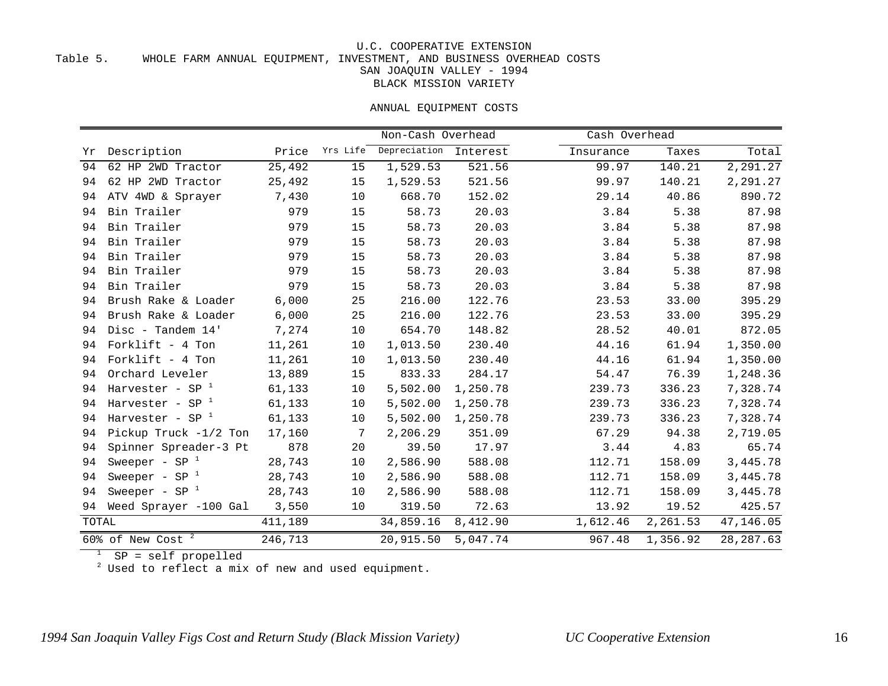#### Table 5. WHOLE FARM ANNUAL EQUIPMENT, INVESTMENT, AND BUSINESS OVERHEAD COSTS

SAN JOAQUIN VALLEY - 1994

BLACK MISSION VARIETY

#### ANNUAL EQUIPMENT COSTS

|       |                                            |         |          | Non-Cash Overhead |          | Cash Overhead |          |            |
|-------|--------------------------------------------|---------|----------|-------------------|----------|---------------|----------|------------|
| Yr    | Description                                | Price   | Yrs Life | Depreciation      | Interest | Insurance     | Taxes    | Total      |
| 94    | 62 HP 2WD Tractor                          | 25,492  | 15       | 1,529.53          | 521.56   | 99.97         | 140.21   | 2,291.27   |
| 94    | 62 HP 2WD Tractor                          | 25,492  | 15       | 1,529.53          | 521.56   | 99.97         | 140.21   | 2,291.27   |
| 94    | ATV 4WD & Sprayer                          | 7,430   | 10       | 668.70            | 152.02   | 29.14         | 40.86    | 890.72     |
| 94    | Bin Trailer                                | 979     | 15       | 58.73             | 20.03    | 3.84          | 5.38     | 87.98      |
| 94    | Bin Trailer                                | 979     | 15       | 58.73             | 20.03    | 3.84          | 5.38     | 87.98      |
| 94    | Bin Trailer                                | 979     | 15       | 58.73             | 20.03    | 3.84          | 5.38     | 87.98      |
| 94    | Bin Trailer                                | 979     | 15       | 58.73             | 20.03    | 3.84          | 5.38     | 87.98      |
| 94    | Bin Trailer                                | 979     | 15       | 58.73             | 20.03    | 3.84          | 5.38     | 87.98      |
| 94    | Bin Trailer                                | 979     | 15       | 58.73             | 20.03    | 3.84          | 5.38     | 87.98      |
| 94    | Brush Rake & Loader                        | 6,000   | 25       | 216.00            | 122.76   | 23.53         | 33.00    | 395.29     |
| 94    | Brush Rake & Loader                        | 6,000   | 25       | 216.00            | 122.76   | 23.53         | 33.00    | 395.29     |
| 94    | Disc - Tandem 14'                          | 7,274   | 10       | 654.70            | 148.82   | 28.52         | 40.01    | 872.05     |
| 94    | Forklift - 4 Ton                           | 11,261  | 10       | 1,013.50          | 230.40   | 44.16         | 61.94    | 1,350.00   |
| 94    | Forklift - 4 Ton                           | 11,261  | 10       | 1,013.50          | 230.40   | 44.16         | 61.94    | 1,350.00   |
| 94    | Orchard Leveler                            | 13,889  | 15       | 833.33            | 284.17   | 54.47         | 76.39    | 1,248.36   |
| 94    | Harvester - SP $1$                         | 61,133  | 10       | 5,502.00          | 1,250.78 | 239.73        | 336.23   | 7,328.74   |
| 94    | Harvester - SP $1$                         | 61,133  | 10       | 5,502.00          | 1,250.78 | 239.73        | 336.23   | 7,328.74   |
| 94    | Harvester - SP $1$                         | 61,133  | 10       | 5,502.00          | 1,250.78 | 239.73        | 336.23   | 7,328.74   |
| 94    | Pickup Truck -1/2 Ton                      | 17,160  | 7        | 2,206.29          | 351.09   | 67.29         | 94.38    | 2,719.05   |
| 94    | Spinner Spreader-3 Pt                      | 878     | 20       | 39.50             | 17.97    | 3.44          | 4.83     | 65.74      |
| 94    | Sweeper - $SP^{-1}$                        | 28,743  | 10       | 2,586.90          | 588.08   | 112.71        | 158.09   | 3,445.78   |
| 94    | Sweeper - $SP1$                            | 28,743  | 10       | 2,586.90          | 588.08   | 112.71        | 158.09   | 3,445.78   |
| 94    | Sweeper - $SP^{-1}$                        | 28,743  | 10       | 2,586.90          | 588.08   | 112.71        | 158.09   | 3,445.78   |
| 94    | Weed Sprayer -100 Gal                      | 3,550   | 10       | 319.50            | 72.63    | 13.92         | 19.52    | 425.57     |
| TOTAL |                                            | 411,189 |          | 34,859.16         | 8,412.90 | 1,612.46      | 2,261.53 | 47,146.05  |
|       | $\overline{\mathbf{c}}$<br>60% of New Cost | 246,713 |          | 20,915.50         | 5,047.74 | 967.48        | 1,356.92 | 28, 287.63 |

SP = self propelled

Used to reflect a mix of new and used equipment.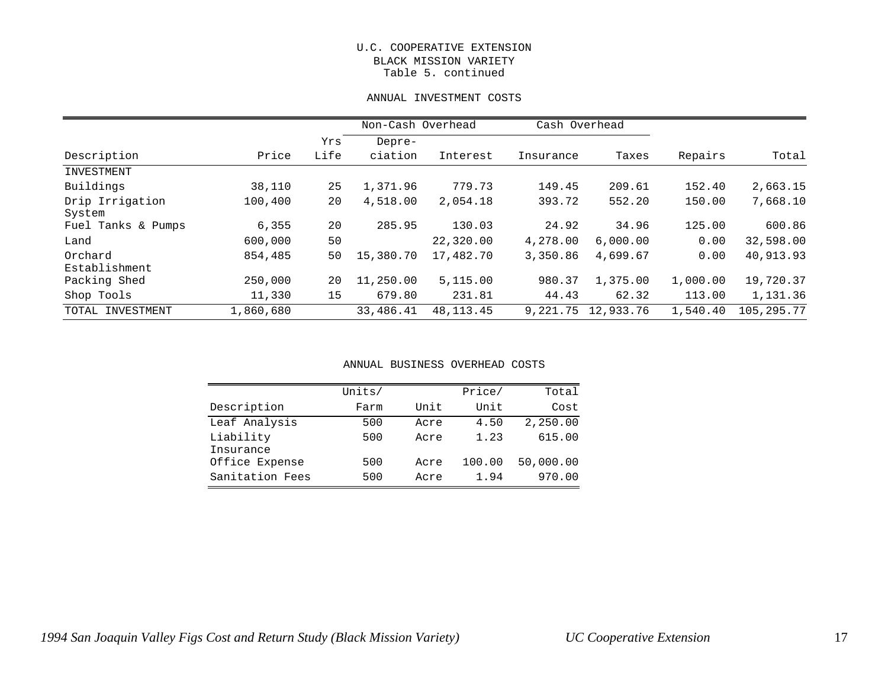#### U.C. COOPERATIVE EXTENSION BLACK MISSION VARIETY Table 5. continued

#### ANNUAL INVESTMENT COSTS

|                    |           |      | Non-Cash Overhead |             | Cash Overhead |           |          |              |
|--------------------|-----------|------|-------------------|-------------|---------------|-----------|----------|--------------|
|                    |           | Yrs  | Depre-            |             |               |           |          |              |
| Description        | Price     | Life | ciation           | Interest    | Insurance     | Taxes     | Repairs  | Total        |
| INVESTMENT         |           |      |                   |             |               |           |          |              |
| Buildings          | 38,110    | 25   | 1,371.96          | 779.73      | 149.45        | 209.61    | 152.40   | 2,663.15     |
| Drip Irrigation    | 100,400   | 20   | 4,518.00          | 2,054.18    | 393.72        | 552.20    | 150.00   | 7,668.10     |
| System             |           |      |                   |             |               |           |          |              |
| Fuel Tanks & Pumps | 6,355     | 20   | 285.95            | 130.03      | 24.92         | 34.96     | 125.00   | 600.86       |
| Land               | 600,000   | 50   |                   | 22,320.00   | 4,278.00      | 6,000.00  | 0.00     | 32,598.00    |
| Orchard            | 854,485   | 50   | 15,380.70         | 17,482.70   | 3,350.86      | 4,699.67  | 0.00     | 40,913.93    |
| Establishment      |           |      |                   |             |               |           |          |              |
| Packing Shed       | 250,000   | 20   | 11,250.00         | 5,115.00    | 980.37        | 1,375.00  | 1,000.00 | 19,720.37    |
| Shop Tools         | 11,330    | 15   | 679.80            | 231.81      | 44.43         | 62.32     | 113.00   | 1,131.36     |
| TOTAL INVESTMENT   | 1,860,680 |      | 33,486.41         | 48, 113. 45 | 9,221.75      | 12,933.76 | 1,540.40 | 105, 295. 77 |

#### ANNUAL BUSINESS OVERHEAD COSTS

|                 | Units/ |      | Price/ | Total     |
|-----------------|--------|------|--------|-----------|
| Description     | Farm   | Unit | Unit   | Cost      |
| Leaf Analysis   | 500    | Acre | 4.50   | 2,250.00  |
| Liability       | 500    | Acre | 1.23   | 615.00    |
| Insurance       |        |      |        |           |
| Office Expense  | 500    | Acre | 100.00 | 50,000.00 |
| Sanitation Fees | 500    | Acre | 1.94   | 970.00    |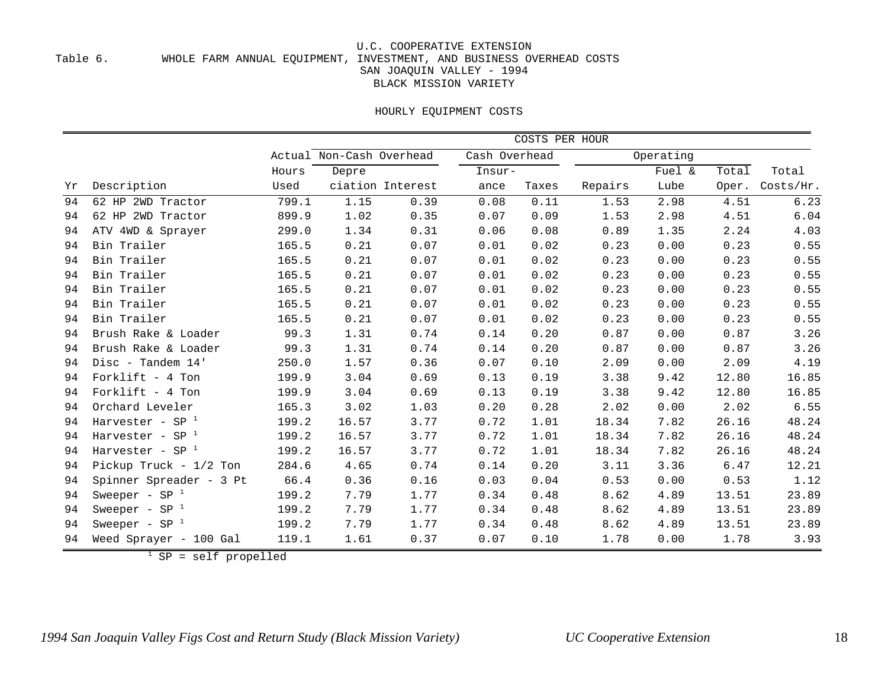#### Table 6. WHOLE FARM ANNUAL EQUIPMENT, INVESTMENT, AND BUSINESS OVERHEAD COSTS SAN JOAQUIN VALLEY - 1994 BLACK MISSION VARIETY

#### HOURLY EQUIPMENT COSTS

|    |                          |                          | COSTS PER HOUR |                  |        |           |         |        |       |           |
|----|--------------------------|--------------------------|----------------|------------------|--------|-----------|---------|--------|-------|-----------|
|    |                          | Actual Non-Cash Overhead |                | Cash Overhead    |        | Operating |         |        |       |           |
|    |                          | Hours                    | Depre          |                  | Insur- |           |         | Fuel & | Total | Total     |
| Yr | Description              | Used                     |                | ciation Interest | ance   | Taxes     | Repairs | Lube   | Oper. | Costs/Hr. |
| 94 | 62 HP 2WD Tractor        | 799.1                    | 1.15           | 0.39             | 0.08   | 0.11      | 1.53    | 2.98   | 4.51  | 6.23      |
| 94 | 62 HP 2WD Tractor        | 899.9                    | 1.02           | 0.35             | 0.07   | 0.09      | 1.53    | 2.98   | 4.51  | 6.04      |
| 94 | ATV 4WD & Sprayer        | 299.0                    | 1.34           | 0.31             | 0.06   | 0.08      | 0.89    | 1.35   | 2.24  | 4.03      |
| 94 | Bin Trailer              | 165.5                    | 0.21           | 0.07             | 0.01   | 0.02      | 0.23    | 0.00   | 0.23  | 0.55      |
| 94 | Bin Trailer              | 165.5                    | 0.21           | 0.07             | 0.01   | 0.02      | 0.23    | 0.00   | 0.23  | 0.55      |
| 94 | Bin Trailer              | 165.5                    | 0.21           | 0.07             | 0.01   | 0.02      | 0.23    | 0.00   | 0.23  | 0.55      |
| 94 | Bin Trailer              | 165.5                    | 0.21           | 0.07             | 0.01   | 0.02      | 0.23    | 0.00   | 0.23  | 0.55      |
| 94 | Bin Trailer              | 165.5                    | 0.21           | 0.07             | 0.01   | 0.02      | 0.23    | 0.00   | 0.23  | 0.55      |
| 94 | Bin Trailer              | 165.5                    | 0.21           | 0.07             | 0.01   | 0.02      | 0.23    | 0.00   | 0.23  | 0.55      |
| 94 | Brush Rake & Loader      | 99.3                     | 1.31           | 0.74             | 0.14   | 0.20      | 0.87    | 0.00   | 0.87  | 3.26      |
| 94 | Brush Rake & Loader      | 99.3                     | 1.31           | 0.74             | 0.14   | 0.20      | 0.87    | 0.00   | 0.87  | 3.26      |
| 94 | Disc - Tandem 14'        | 250.0                    | 1.57           | 0.36             | 0.07   | 0.10      | 2.09    | 0.00   | 2.09  | 4.19      |
| 94 | Forklift - 4 Ton         | 199.9                    | 3.04           | 0.69             | 0.13   | 0.19      | 3.38    | 9.42   | 12.80 | 16.85     |
| 94 | Forklift $-4$ Ton        | 199.9                    | 3.04           | 0.69             | 0.13   | 0.19      | 3.38    | 9.42   | 12.80 | 16.85     |
| 94 | Orchard Leveler          | 165.3                    | 3.02           | 1.03             | 0.20   | 0.28      | 2.02    | 0.00   | 2.02  | 6.55      |
| 94 | Harvester - SP $1$       | 199.2                    | 16.57          | 3.77             | 0.72   | 1.01      | 18.34   | 7.82   | 26.16 | 48.24     |
| 94 | Harvester - SP $1$       | 199.2                    | 16.57          | 3.77             | 0.72   | 1.01      | 18.34   | 7.82   | 26.16 | 48.24     |
| 94 | Harvester - SP $1$       | 199.2                    | 16.57          | 3.77             | 0.72   | 1.01      | 18.34   | 7.82   | 26.16 | 48.24     |
| 94 | Pickup Truck - $1/2$ Ton | 284.6                    | 4.65           | 0.74             | 0.14   | 0.20      | 3.11    | 3.36   | 6.47  | 12.21     |
| 94 | Spinner Spreader - 3 Pt  | 66.4                     | 0.36           | 0.16             | 0.03   | 0.04      | 0.53    | 0.00   | 0.53  | 1.12      |
| 94 | Sweeper - $SP^{-1}$      | 199.2                    | 7.79           | 1.77             | 0.34   | 0.48      | 8.62    | 4.89   | 13.51 | 23.89     |
| 94 | Sweeper - $SP^{-1}$      | 199.2                    | 7.79           | 1.77             | 0.34   | 0.48      | 8.62    | 4.89   | 13.51 | 23.89     |
| 94 | Sweeper - $SP^{-1}$      | 199.2                    | 7.79           | 1.77             | 0.34   | 0.48      | 8.62    | 4.89   | 13.51 | 23.89     |
| 94 | Weed Sprayer - 100 Gal   | 119.1                    | 1.61           | 0.37             | 0.07   | 0.10      | 1.78    | 0.00   | 1.78  | 3.93      |

SP = self propelled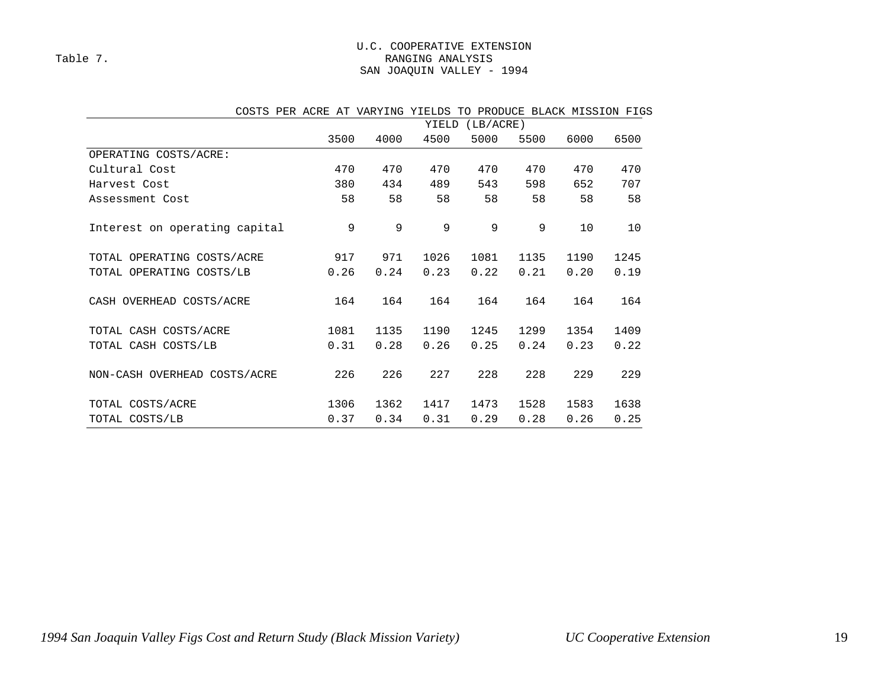#### U.C. COOPERATIVE EXTENSION Table 7. Table 7. SAN JOAQUIN VALLEY - 1994

| COSIS PER ACRE AI VARIING IIELDS |                    |      |      |      | IO PRODUCE BLACK MISSION FIGS |      |      |  |  |  |
|----------------------------------|--------------------|------|------|------|-------------------------------|------|------|--|--|--|
|                                  | YIELD<br>(LB/ACRE) |      |      |      |                               |      |      |  |  |  |
|                                  | 3500               | 4000 | 4500 | 5000 | 5500                          | 6000 | 6500 |  |  |  |
| OPERATING COSTS/ACRE:            |                    |      |      |      |                               |      |      |  |  |  |
| Cultural Cost                    | 470                | 470  | 470  | 470  | 470                           | 470  | 470  |  |  |  |
| Harvest Cost                     | 380                | 434  | 489  | 543  | 598                           | 652  | 707  |  |  |  |
| Assessment Cost                  | 58                 | 58   | 58   | 58   | 58                            | 58   | 58   |  |  |  |
| Interest on operating capital    | 9                  | 9    | 9    | 9    | 9                             | 10   | 10   |  |  |  |
| OPERATING COSTS/ACRE<br>TOTAL    | 917                | 971  | 1026 | 1081 | 1135                          | 1190 | 1245 |  |  |  |
| TOTAL OPERATING COSTS/LB         | 0.26               | 0.24 | 0.23 | 0.22 | 0.21                          | 0.20 | 0.19 |  |  |  |
| CASH OVERHEAD COSTS/ACRE         | 164                | 164  | 164  | 164  | 164                           | 164  | 164  |  |  |  |
| TOTAL CASH COSTS/ACRE            | 1081               | 1135 | 1190 | 1245 | 1299                          | 1354 | 1409 |  |  |  |
| TOTAL CASH COSTS/LB              | 0.31               | 0.28 | 0.26 | 0.25 | 0.24                          | 0.23 | 0.22 |  |  |  |
| NON-CASH OVERHEAD COSTS/ACRE     | 226                | 226  | 227  | 228  | 228                           | 229  | 229  |  |  |  |
| TOTAL COSTS/ACRE                 | 1306               | 1362 | 1417 | 1473 | 1528                          | 1583 | 1638 |  |  |  |
| TOTAL COSTS/LB                   | 0.37               | 0.34 | 0.31 | 0.29 | 0.28                          | 0.26 | 0.25 |  |  |  |

### COSTS PER ACRE AT VARYING YIELDS TO PRODUCE BLACK MISSION FIGS